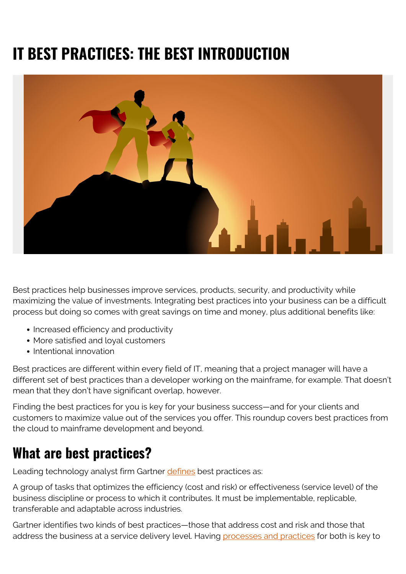# **IT BEST PRACTICES: THE BEST INTRODUCTION**



Best practices help businesses improve services, products, security, and productivity while maximizing the value of investments. Integrating best practices into your business can be a difficult process but doing so comes with great savings on time and money, plus additional benefits like:

- Increased efficiency and productivity
- More satisfied and loyal customers
- Intentional innovation

Best practices are different within every field of IT, meaning that a project manager will have a different set of best practices than a developer working on the mainframe, for example. That doesn't mean that they don't have significant overlap, however.

Finding the best practices for you is key for your business success—and for your clients and customers to maximize value out of the services you offer. This roundup covers best practices from the cloud to mainframe development and beyond.

## **What are best practices?**

Leading technology analyst firm Gartner [defines](https://www.gartner.com/en/information-technology/glossary/best-practice) best practices as:

A group of tasks that optimizes the efficiency (cost and risk) or effectiveness (service level) of the business discipline or process to which it contributes. It must be implementable, replicable, transferable and adaptable across industries.

Gartner identifies two kinds of best practices—those that address cost and risk and those that address the business at a service delivery level. Having [processes and practices](https://blogs.bmc.com/Practice%20vs%20Process:%20What’s%20The%20Difference?) for both is key to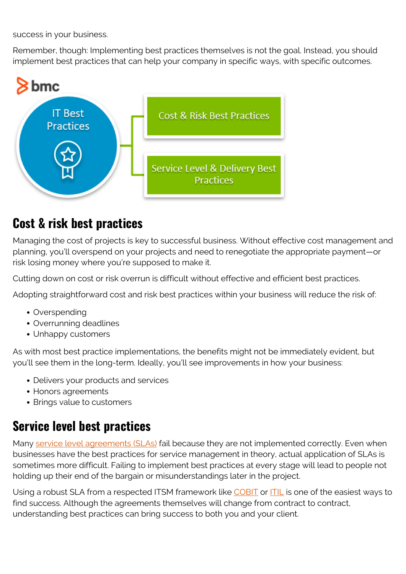success in your business.

Remember, though: Implementing best practices themselves is not the goal. Instead, you should implement best practices that can help your company in specific ways, with specific outcomes.



#### **Cost & risk best practices**

Managing the cost of projects is key to successful business. Without effective cost management and planning, you'll overspend on your projects and need to renegotiate the appropriate payment—or risk losing money where you're supposed to make it.

Cutting down on cost or risk overrun is difficult without effective and efficient best practices.

Adopting straightforward cost and risk best practices within your business will reduce the risk of:

- Overspending
- Overrunning deadlines
- Unhappy customers

As with most best practice implementations, the benefits might not be immediately evident, but you'll see them in the long-term. Ideally, you'll see improvements in how your business:

- Delivers your products and services
- Honors agreements
- Brings value to customers

#### **Service level best practices**

Many [service level agreements \(SLAs\)](https://blogs.bmc.com/blogs/sla-template-examples/) fail because they are not implemented correctly. Even when businesses have the best practices for service management in theory, actual application of SLAs is sometimes more difficult. Failing to implement best practices at every stage will lead to people not holding up their end of the bargain or misunderstandings later in the project.

Using a robust SLA from a respected ITSM framework like [COBIT](https://blogs.bmc.com/blogs/cobit/) or **ITIL** is one of the easiest ways to find success. Although the agreements themselves will change from contract to contract, understanding best practices can bring success to both you and your client.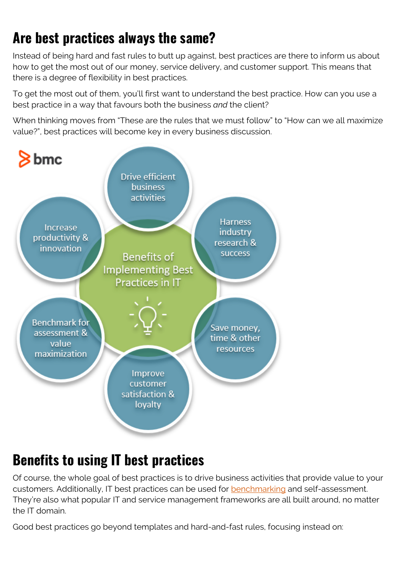## **Are best practices always the same?**

Instead of being hard and fast rules to butt up against, best practices are there to inform us about how to get the most out of our money, service delivery, and customer support. This means that there is a degree of flexibility in best practices.

To get the most out of them, you'll first want to understand the best practice. How can you use a best practice in a way that favours both the business *and* the client?

When thinking moves from "These are the rules that we must follow" to "How can we all maximize value?", best practices will become key in every business discussion.



## **Benefits to using IT best practices**

Of course, the whole goal of best practices is to drive business activities that provide value to your customers. Additionally, IT best practices can be used for [benchmarking](https://blogs.bmc.com/IT%20Benchmarking%20Explained:%20How%20To%20Assess%20Your%20IT%20Efforts) and self-assessment. They're also what popular IT and service management frameworks are all built around, no matter the IT domain.

Good best practices go beyond templates and hard-and-fast rules, focusing instead on: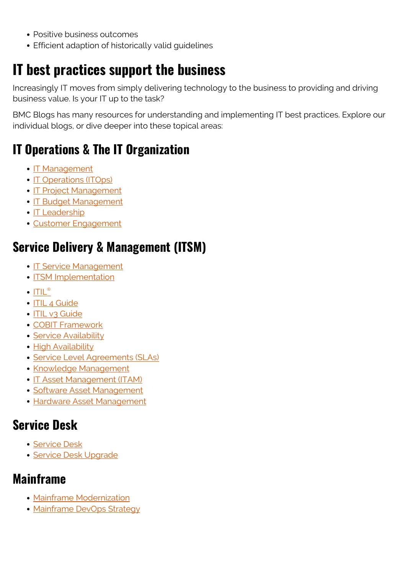- Positive business outcomes
- Efficient adaption of historically valid guidelines

## **IT best practices support the business**

Increasingly IT moves from simply delivering technology to the business to providing and driving business value. Is your IT up to the task?

BMC Blogs has many resources for understanding and implementing IT best practices. Explore our individual blogs, or dive deeper into these topical areas:

## **IT Operations & The IT Organization**

- [IT Management](https://blogs.bmc.com/blogs/it-management/)
- [IT Operations \(ITOps\)](https://blogs.bmc.com/blogs/it-operations-best-practices/)
- [IT Project Management](https://blogs.bmc.com/blogs/project-management-process-templates-best-practices/)
- [IT Budget Management](https://blogs.bmc.com/blogs/it-budget-management/)
- [IT Leadership](https://blogs.bmc.com/blogs/offensive-defensive-leadership/)
- [Customer Engagement](https://blogs.bmc.com/blogs/customer-engagement-case-missing-fiance/)

### **Service Delivery & Management (ITSM)**

- [IT Service Management](https://blogs.bmc.com/blogs/it-service-management-best-practices/)
- [ITSM Implementation](https://blogs.bmc.com/blogs/itsm-implementation/)
- $\cdot$  [ITIL](https://blogs.bmc.com/blogs/itil-best-practices/)[®](https://blogs.bmc.com/blogs/itil-best-practices/)
- [ITIL 4 Guide](https://blogs.bmc.com/blogs/itil-4/)
- [ITIL v3 Guide](https://blogs.bmc.com/blogs/itil-v3-introduction/)
- [COBIT Framework](https://blogs.bmc.com/blogs/cobit/)
- [Service Availability](https://blogs.bmc.com/blogs/service-availability-calculation-metrics/)
- [High Availability](https://blogs.bmc.com/blogs/high-availability/)
- [Service Level Agreements \(SLAs\)](https://blogs.bmc.com/blogs/sla-best-practices/)
- [Knowledge Management](https://blogs.bmc.com/blogs/knowledge-management-best-practices/)
- [IT Asset Management \(ITAM\)](https://blogs.bmc.com/blogs/it-asset-management-best-practices-top-ten/)
- [Software Asset Management](https://blogs.bmc.com/blogs/software-asset-management/)
- [Hardware Asset Management](https://blogs.bmc.com/blogs/hardware-asset-management/)

#### **Service Desk**

- [Service Desk](https://blogs.bmc.com/blogs/service-desk-best-practices/)
- **[Service Desk Upgrade](https://blogs.bmc.com/blogs/design-best-practices-for-upgrading-your-service-desk/)**

#### **Mainframe**

- [Mainframe Modernization](https://blogs.bmc.com/blogs/forrester-research-5-best-practices-for-handling-mainframe-modernization/)
- [Mainframe DevOps Strategy](https://blogs.bmc.com/blogs/mainframe-devops-unified-strategy/)